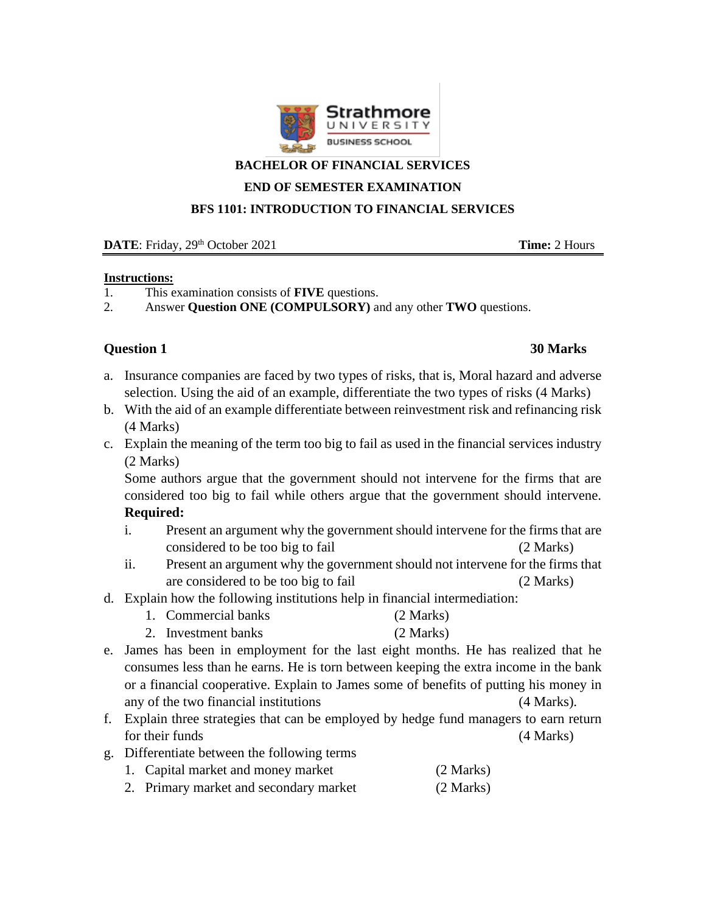

### **BACHELOR OF FINANCIAL SERVICES**

**END OF SEMESTER EXAMINATION**

**BFS 1101: INTRODUCTION TO FINANCIAL SERVICES**

**DATE**: Friday, 29<sup>th</sup> October 2021 **Time:** 2 Hours

### **Instructions:**

- 1. This examination consists of **FIVE** questions.
- 2. Answer **Question ONE (COMPULSORY)** and any other **TWO** questions.

## **Question 1 30 Marks**

- a. Insurance companies are faced by two types of risks, that is, Moral hazard and adverse selection. Using the aid of an example, differentiate the two types of risks (4 Marks)
- b. With the aid of an example differentiate between reinvestment risk and refinancing risk (4 Marks)
- c. Explain the meaning of the term too big to fail as used in the financial services industry (2 Marks)

Some authors argue that the government should not intervene for the firms that are considered too big to fail while others argue that the government should intervene. **Required:**

- i. Present an argument why the government should intervene for the firms that are considered to be too big to fail (2 Marks)
- ii. Present an argument why the government should not intervene for the firms that are considered to be too big to fail (2 Marks)
- d. Explain how the following institutions help in financial intermediation:
	- 1. Commercial banks (2 Marks)
	- 2. Investment banks (2 Marks)
- e. James has been in employment for the last eight months. He has realized that he consumes less than he earns. He is torn between keeping the extra income in the bank or a financial cooperative. Explain to James some of benefits of putting his money in any of the two financial institutions (4 Marks).
- f. Explain three strategies that can be employed by hedge fund managers to earn return for their funds (4 Marks)
- g. Differentiate between the following terms
	- 1. Capital market and money market (2 Marks)
	- 2. Primary market and secondary market (2 Marks)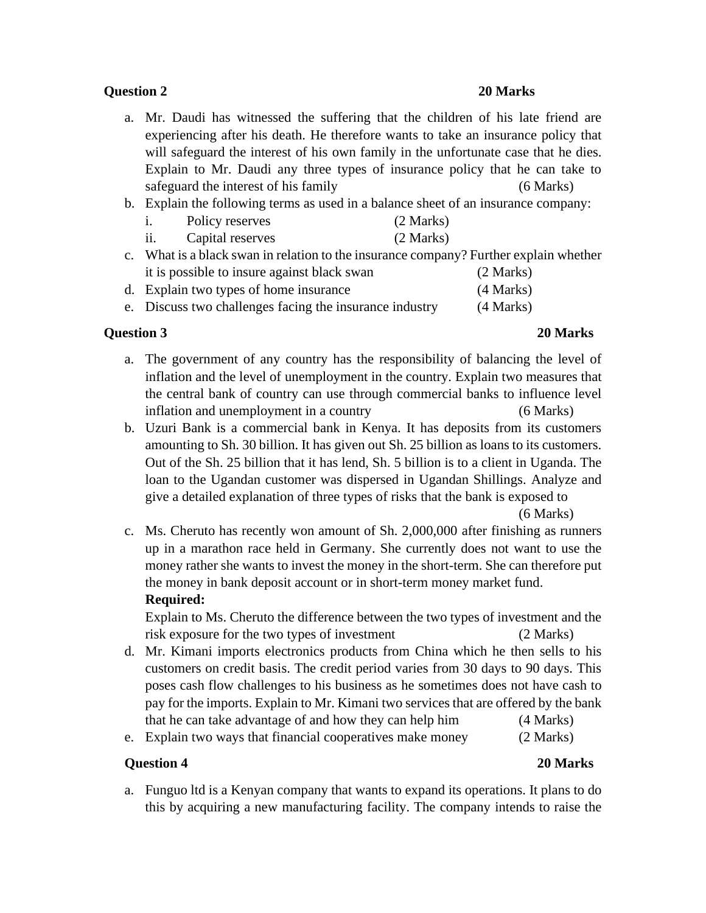## **Question 2 20 Marks**

- a. Mr. Daudi has witnessed the suffering that the children of his late friend are experiencing after his death. He therefore wants to take an insurance policy that will safeguard the interest of his own family in the unfortunate case that he dies. Explain to Mr. Daudi any three types of insurance policy that he can take to safeguard the interest of his family (6 Marks)
- b. Explain the following terms as used in a balance sheet of an insurance company:

| 1.                                                                                    | Policy reserves                                         | (2 Marks) |  |
|---------------------------------------------------------------------------------------|---------------------------------------------------------|-----------|--|
| ii.                                                                                   | Capital reserves                                        | (2 Marks) |  |
| c. What is a black swan in relation to the insurance company? Further explain whether |                                                         |           |  |
|                                                                                       | it is possible to insure against black swan             | (2 Marks) |  |
|                                                                                       | d. Explain two types of home insurance                  | (4 Marks) |  |
|                                                                                       | e. Discuss two challenges facing the insurance industry | (4 Marks) |  |

**Question 3 20 Marks**

- a. The government of any country has the responsibility of balancing the level of inflation and the level of unemployment in the country. Explain two measures that the central bank of country can use through commercial banks to influence level inflation and unemployment in a country (6 Marks)
- b. Uzuri Bank is a commercial bank in Kenya. It has deposits from its customers amounting to Sh. 30 billion. It has given out Sh. 25 billion as loans to its customers. Out of the Sh. 25 billion that it has lend, Sh. 5 billion is to a client in Uganda. The loan to the Ugandan customer was dispersed in Ugandan Shillings. Analyze and give a detailed explanation of three types of risks that the bank is exposed to

(6 Marks)

c. Ms. Cheruto has recently won amount of Sh. 2,000,000 after finishing as runners up in a marathon race held in Germany. She currently does not want to use the money rather she wants to invest the money in the short-term. She can therefore put the money in bank deposit account or in short-term money market fund. **Required:**

Explain to Ms. Cheruto the difference between the two types of investment and the risk exposure for the two types of investment (2 Marks)

- d. Mr. Kimani imports electronics products from China which he then sells to his customers on credit basis. The credit period varies from 30 days to 90 days. This poses cash flow challenges to his business as he sometimes does not have cash to pay for the imports. Explain to Mr. Kimani two services that are offered by the bank that he can take advantage of and how they can help him (4 Marks)
- e. Explain two ways that financial cooperatives make money (2 Marks)

## **Question 4 20 Marks**

a. Funguo ltd is a Kenyan company that wants to expand its operations. It plans to do this by acquiring a new manufacturing facility. The company intends to raise the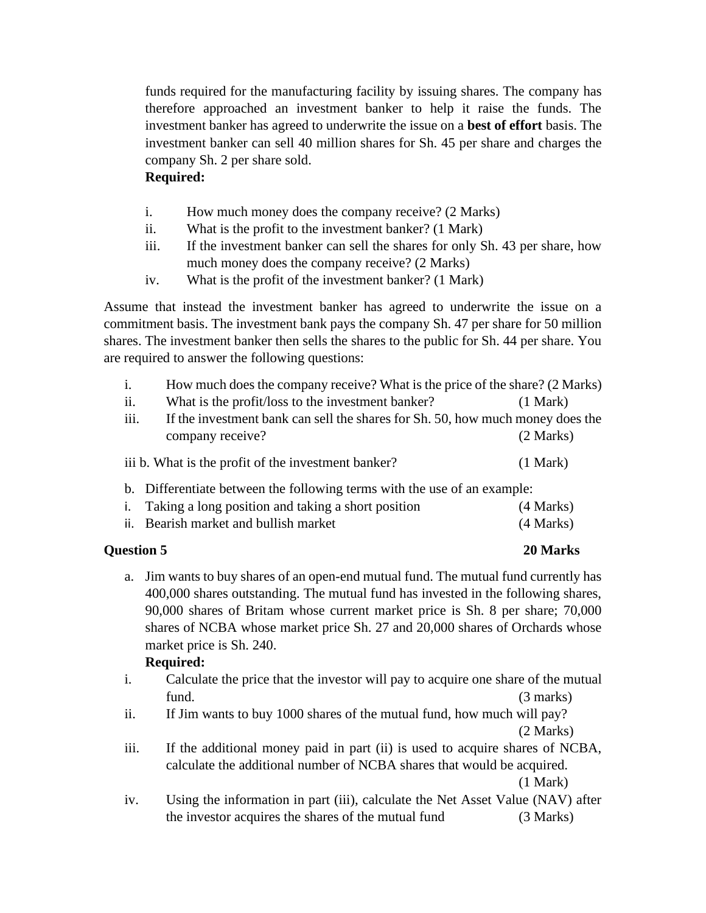funds required for the manufacturing facility by issuing shares. The company has therefore approached an investment banker to help it raise the funds. The investment banker has agreed to underwrite the issue on a **best of effort** basis. The investment banker can sell 40 million shares for Sh. 45 per share and charges the company Sh. 2 per share sold.

## **Required:**

- i. How much money does the company receive? (2 Marks)
- ii. What is the profit to the investment banker? (1 Mark)
- iii. If the investment banker can sell the shares for only Sh. 43 per share, how much money does the company receive? (2 Marks)
- iv. What is the profit of the investment banker? (1 Mark)

Assume that instead the investment banker has agreed to underwrite the issue on a commitment basis. The investment bank pays the company Sh. 47 per share for 50 million shares. The investment banker then sells the shares to the public for Sh. 44 per share. You are required to answer the following questions:

| i.                                                                       | How much does the company receive? What is the price of the share? (2 Marks)   |           |  |  |
|--------------------------------------------------------------------------|--------------------------------------------------------------------------------|-----------|--|--|
| ii.                                                                      | What is the profit/loss to the investment banker?                              | (1 Mark)  |  |  |
| iii.                                                                     | If the investment bank can sell the shares for Sh. 50, how much money does the |           |  |  |
|                                                                          | company receive?                                                               | (2 Marks) |  |  |
| iii b. What is the profit of the investment banker?<br>(1 Mark)          |                                                                                |           |  |  |
| b. Differentiate between the following terms with the use of an example: |                                                                                |           |  |  |
| Ĺ.                                                                       | Taking a long position and taking a short position                             | (4 Marks) |  |  |
|                                                                          | ii. Bearish market and bullish market                                          | (4 Marks) |  |  |

# **Ouestion 5** 20 Marks

a. Jim wants to buy shares of an open-end mutual fund. The mutual fund currently has 400,000 shares outstanding. The mutual fund has invested in the following shares, 90,000 shares of Britam whose current market price is Sh. 8 per share; 70,000 shares of NCBA whose market price Sh. 27 and 20,000 shares of Orchards whose market price is Sh. 240.

# **Required:**

- i. Calculate the price that the investor will pay to acquire one share of the mutual fund. (3 marks)
- ii. If Jim wants to buy 1000 shares of the mutual fund, how much will pay? (2 Marks)
- iii. If the additional money paid in part (ii) is used to acquire shares of NCBA, calculate the additional number of NCBA shares that would be acquired. (1 Mark)
- iv. Using the information in part (iii), calculate the Net Asset Value (NAV) after the investor acquires the shares of the mutual fund (3 Marks)